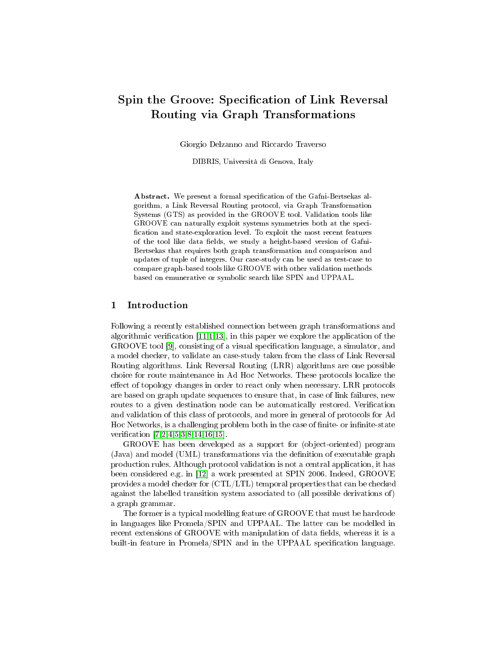# Spin the Groove: Specification of Link Reversal Routing via Graph Transformations

Giorgio Delzanno and Riccardo Traverso

DIBRIS, Università di Genova, Italy

Abstract. We present a formal specification of the Gafni-Bertsekas algorithm, a Link Reversal Routing protocol, via Graph Transformation Systems (GTS) as provided in the GROOVE tool. Validation tools like GROOVE can naturally exploit systems symmetries both at the speci fication and state-exploration level. To exploit the most recent features of the tool like data fields, we study a height-based version of Gafni-Bertsekas that requires both graph transformation and comparison and updates of tuple of integers. Our case-study can be used as test-case to compare graph-based tools like GROOVE with other validation methods based on emunerative or symbolic search like SPIN and UPPAAL.

# 1 Introduction

Following a recently established connection between graph transformations and algorithmic verification  $[11,1,13]$  $[11,1,13]$  $[11,1,13]$ , in this paper we explore the application of the GROOVE tool [\[9\]](#page-17-3), consisting of a visual specification language, a simulator, and a model checker, to validate an case-study taken from the class of Link Reversal Routing algorithms. Link Reversal Routing (LRR) algorithms are one possible choice for route maintenance in Ad Hoc Networks. These protocols localize the effect of topology changes in order to react only when necessary. LRR protocols are based on graph update sequences to ensure that, in case of link failures, new routes to a given destination node can be automatically restored. Verification and validation of this class of protocols, and more in general of protocols for Ad Hoc Networks, is a challenging problem both in the case of finite- or infinite-state verification  $[7,2,4,5,3,8,14,16,15]$  $[7,2,4,5,3,8,14,16,15]$  $[7,2,4,5,3,8,14,16,15]$  $[7,2,4,5,3,8,14,16,15]$  $[7,2,4,5,3,8,14,16,15]$  $[7,2,4,5,3,8,14,16,15]$  $[7,2,4,5,3,8,14,16,15]$  $[7,2,4,5,3,8,14,16,15]$  $[7,2,4,5,3,8,14,16,15]$ .

GROOVE has been developed as a support for (object-oriented) program (Java) and model (UML) transformations via the denition of executable graph production rules. Although protocol validation is not a central application, it has been considered e.g. in [\[12\]](#page-17-13) a work presented at SPIN 2006. Indeed, GROOVE provides a model checker for (CTL/LTL) temporal properties that can be checked against the labelled transition system associated to (all possible derivations of) a graph grammar.

The former is a typical modelling feature of GROOVE that must be hardcode in languages like Promela/SPIN and UPPAAL. The latter can be modelled in recent extensions of GROOVE with manipulation of data fields, whereas it is a built-in feature in Promela/SPIN and in the UPPAAL specification language.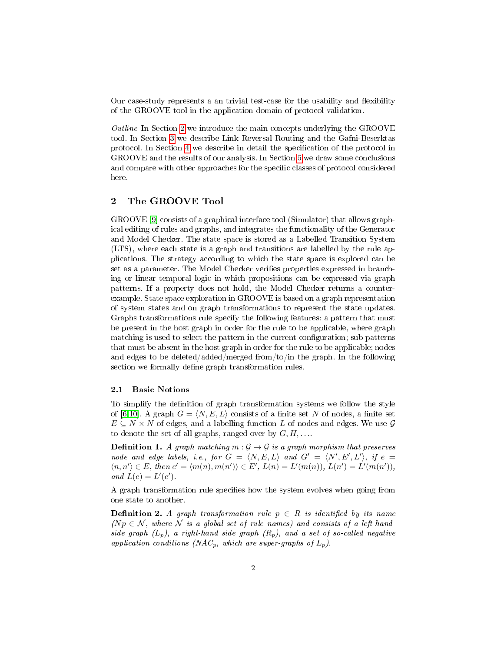Our case-study represents a an trivial test-case for the usability and flexibility of the GROOVE tool in the application domain of protocol validation.

Outline In Section [2](#page-1-0) we introduce the main concepts underlying the GROOVE tool. In Section [3](#page-4-0) we describe Link Reversal Routing and the Gafni-Beserktas protocol. In Section [4](#page-7-0) we describe in detail the specification of the protocol in GROOVE and the results of our analysis. In Section [5](#page-14-0) we draw some conclusions and compare with other approaches for the specific classes of protocol considered here.

# <span id="page-1-0"></span>2 The GROOVE Tool

GROOVE [\[9\]](#page-17-3) consists of a graphical interface tool (Simulator) that allows graphical editing of rules and graphs, and integrates the functionality of the Generator and Model Checker. The state space is stored as a Labelled Transition System (LTS), where each state is a graph and transitions are labelled by the rule applications. The strategy according to which the state space is explored can be set as a parameter. The Model Checker verifies properties expressed in branching or linear temporal logic in which propositions can be expressed via graph patterns. If a property does not hold, the Model Checker returns a counterexample. State space exploration in GROOVE is based on a graph representation of system states and on graph transformations to represent the state updates. Graphs transformations rule specify the following features: a pattern that must be present in the host graph in order for the rule to be applicable, where graph matching is used to select the pattern in the current configuration; sub-patterns that must be absent in the host graph in order for the rule to be applicable; nodes and edges to be deleted/added/merged from/to/in the graph. In the following section we formally define graph transformation rules.

## 2.1 Basic Notions

To simplify the definition of graph transformation systems we follow the style of [\[6,](#page-17-14)[10\]](#page-17-15). A graph  $G = \langle N, E, L \rangle$  consists of a finite set N of nodes, a finite set  $E \subseteq N \times N$  of edges, and a labelling function L of nodes and edges. We use G to denote the set of all graphs, ranged over by  $G, H, \ldots$ .

**Definition 1.** A graph matching  $m : \mathcal{G} \to \mathcal{G}$  is a graph morphism that preserves node and edge labels, i.e., for  $G = \langle N, E, L \rangle$  and  $G' = \langle N', E', L' \rangle$ , if  $e =$  $\langle n, n' \rangle \in E$ , then  $e' = \langle m(n), m(n') \rangle \in E'$ ,  $L(n) = L'(m(n))$ ,  $L(n') = L'(m(n'))$ , and  $L(e) = L'(e')$ .

A graph transformation rule specifies how the system evolves when going from one state to another.

**Definition 2.** A graph transformation rule  $p \in R$  is identified by its name  $(Np \in \mathcal{N})$ , where  $\mathcal N$  is a global set of rule names) and consists of a left-handside graph  $(L_p)$ , a right-hand side graph  $(R_p)$ , and a set of so-called negative application conditions (NAC<sub>p</sub>, which are super-graphs of  $L_p$ ).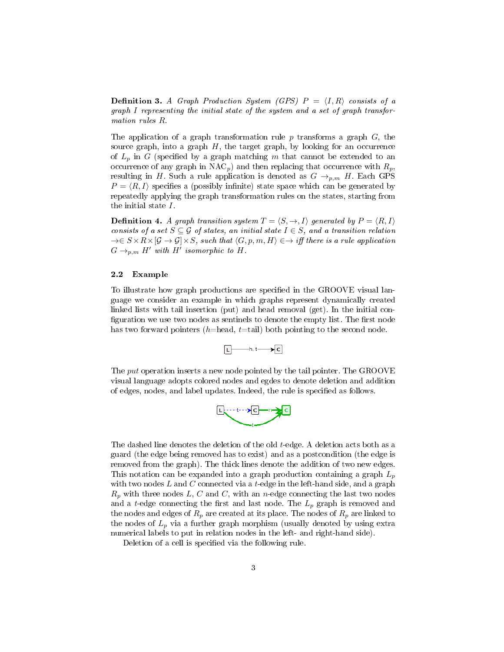**Definition 3.** A Graph Production System (GPS)  $P = \langle I, R \rangle$  consists of a graph I representing the initial state of the system and a set of graph transformation rules R.

The application of a graph transformation rule p transforms a graph  $G$ , the source graph, into a graph  $H$ , the target graph, by looking for an occurrence of  $L_p$  in G (specified by a graph matching m that cannot be extended to an occurrence of any graph in  $NAC_p$ ) and then replacing that occurrence with  $R_p$ , resulting in H. Such a rule application is denoted as  $G \rightarrow_{p,m} H$ . Each GPS  $P = \langle R, I \rangle$  specifies a (possibly infinite) state space which can be generated by repeatedly applying the graph transformation rules on the states, starting from the initial state I.

**Definition 4.** A graph transition system  $T = \langle S, \rightarrow, I \rangle$  generated by  $P = \langle R, I \rangle$ consists of a set  $S \subseteq G$  of states, an initial state  $I \in S$ , and a transition relation  $\rightarrow \in S \times R \times [G \rightarrow G] \times S$ , such that  $\langle G, p, m, H \rangle \in \rightarrow$  iff there is a rule application  $G \rightarrow_{p,m} H'$  with H' isomorphic to H.

#### 2.2 Example

To illustrate how graph productions are specified in the GROOVE visual language we consider an example in which graphs represent dynamically created linked lists with tail insertion (put) and head removal (get). In the initial con figuration we use two nodes as sentinels to denote the empty list. The first node has two forward pointers (h=head, t=tail) both pointing to the second node.

$$
\underbrace{\Gamma\longrightarrow\text{h.t}\longrightarrow\text{C}}
$$

The put operation inserts a new node pointed by the tail pointer. The GROOVE visual language adopts colored nodes and egdes to denote deletion and addition of edges, nodes, and label updates. Indeed, the rule is specified as follows.



The dashed line denotes the deletion of the old t-edge. A deletion acts both as a guard (the edge being removed has to exist) and as a postcondition (the edge is removed from the graph). The thick lines denote the addition of two new edges. This notation can be expanded into a graph production containing a graph  $L_p$ with two nodes  $L$  and  $C$  connected via a t-edge in the left-hand side, and a graph  $R_p$  with three nodes L, C and C, with an n-edge connecting the last two nodes and a t-edge connecting the first and last node. The  $L_p$  graph is removed and the nodes and edges of  $R_p$  are created at its place. The nodes of  $R_p$  are linked to the nodes of  $L_p$  via a further graph morphism (usually denoted by using extra numerical labels to put in relation nodes in the left- and right-hand side).

Deletion of a cell is specified via the following rule.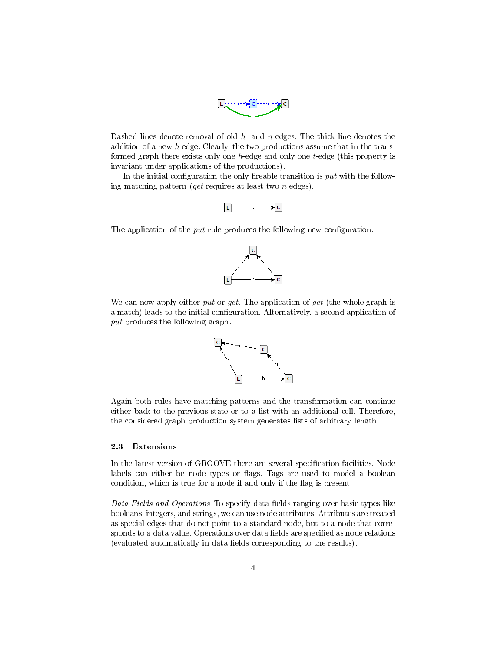

Dashed lines denote removal of old  $h$ - and  $n$ -edges. The thick line denotes the addition of a new h-edge. Clearly, the two productions assume that in the transformed graph there exists only one h-edge and only one t-edge (this property is invariant under applications of the productions).

In the initial configuration the only fireable transition is  $put$  with the following matching pattern (*get* requires at least two  $n$  edges).



The application of the  $put$  rule produces the following new configuration.



We can now apply either put or get. The application of get (the whole graph is a match) leads to the initial configuration. Alternatively, a second application of put produces the following graph.



Again both rules have matching patterns and the transformation can continue either back to the previous state or to a list with an additional cell. Therefore, the considered graph production system generates lists of arbitrary length.

### 2.3 Extensions

In the latest version of GROOVE there are several specification facilities. Node labels can either be node types or flags. Tags are used to model a boolean condition, which is true for a node if and only if the flag is present.

Data Fields and Operations To specify data fields ranging over basic types like booleans, integers, and strings, we can use node attributes. Attributes are treated as special edges that do not point to a standard node, but to a node that corresponds to a data value. Operations over data fields are specified as node relations (evaluated automatically in data fields corresponding to the results).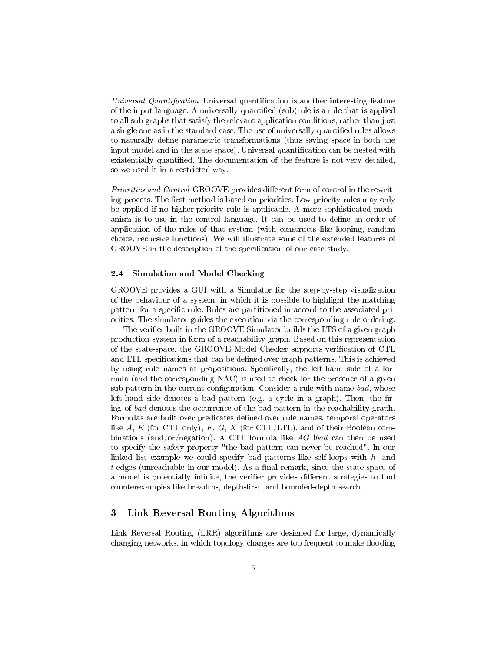Universal Quantification Universal quantification is another interesting feature of the input language. A universally quantified (sub)rule is a rule that is applied to all sub-graphs that satisfy the relevant application conditions, rather than just a single one as in the standard case. The use of universally quantified rules allows to naturally define parametric transformations (thus saving space in both the input model and in the state space). Universal quantification can be nested with existentially quantified. The documentation of the feature is not very detailed, so we used it in a restricted way.

Priorities and Control GROOVE provides different form of control in the rewriting process. The first method is based on priorities. Low-priority rules may only be applied if no higher-priority rule is applicable. A more sophisticated mechanism is to use in the control language. It can be used to define an order of application of the rules of that system (with constructs like looping, random choice, recursive functions). We will illustrate some of the extended features of GROOVE in the description of the specification of our case-study.

#### 2.4 Simulation and Model Checking

GROOVE provides a GUI with a Simulator for the step-by-step visualization of the behaviour of a system, in which it is possible to highlight the matching pattern for a specific rule. Rules are partitioned in accord to the associated priorities. The simulator guides the execution via the corresponding rule ordering.

The verifier built in the GROOVE Simulator builds the LTS of a given graph production system in form of a reachability graph. Based on this representation of the state-space, the GROOVE Model Checker supports verication of CTL and LTL specifications that can be defined over graph patterns. This is achieved by using rule names as propositions. Specifically, the left-hand side of a formula (and the corresponding NAC) is used to check for the presence of a given sub-pattern in the current configuration. Consider a rule with name bad, whose left-hand side denotes a bad pattern (e.g. a cycle in a graph). Then, the firing of bad denotes the occurrence of the bad pattern in the reachability graph. Formulas are built over predicates defined over rule names, temporal operators like A, E (for CTL only), F, G, X (for CTL/LTL), and of their Boolean combinations (and/or/negation). A CTL formula like  $AG$  !bad can then be used to specify the safety property "the bad pattern can never be reached". In our linked list example we could specify bad patterns like self-loops with  $h$ - and  $t$ -edges (unreachable in our model). As a final remark, since the state-space of a model is potentially infinite, the verifier provides different strategies to find counterexamples like breadth-, depth-first, and bounded-depth search.

# <span id="page-4-0"></span>3 Link Reversal Routing Algorithms

Link Reversal Routing (LRR) algorithms are designed for large, dynamically changing networks, in which topology changes are too frequent to make flooding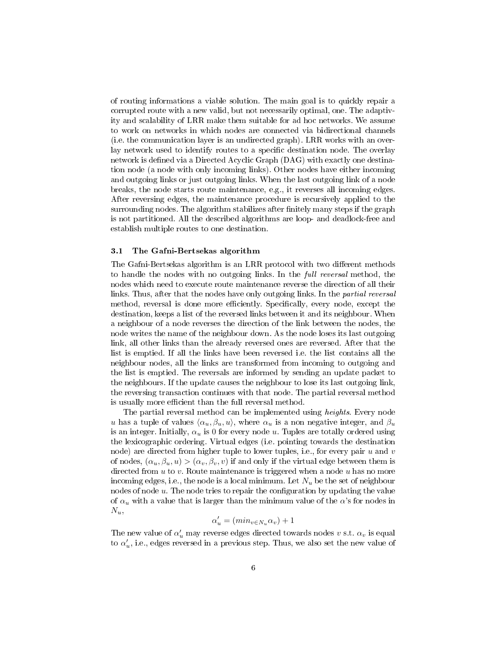of routing informations a viable solution. The main goal is to quickly repair a corrupted route with a new valid, but not necessarily optimal, one. The adaptivity and scalability of LRR make them suitable for ad hoc networks. We assume to work on networks in which nodes are connected via bidirectional channels (i.e. the communication layer is an undirected graph). LRR works with an overlay network used to identify routes to a specific destination node. The overlay network is defined via a Directed Acyclic Graph (DAG) with exactly one destination node (a node with only incoming links). Other nodes have either incoming and outgoing links or just outgoing links. When the last outgoing link of a node breaks, the node starts route maintenance, e.g., it reverses all incoming edges. After reversing edges, the maintenance procedure is recursively applied to the surrounding nodes. The algorithm stabilizes after finitely many steps if the graph is not partitioned. All the described algorithms are loop- and deadlock-free and establish multiple routes to one destination.

#### 3.1 The Gafni-Bertsekas algorithm

The Gafni-Bertsekas algorithm is an LRR protocol with two different methods to handle the nodes with no outgoing links. In the full reversal method, the nodes which need to execute route maintenance reverse the direction of all their links. Thus, after that the nodes have only outgoing links. In the partial reversal method, reversal is done more efficiently. Specifically, every node, except the destination, keeps a list of the reversed links between it and its neighbour. When a neighbour of a node reverses the direction of the link between the nodes, the node writes the name of the neighbour down. As the node loses its last outgoing link, all other links than the already reversed ones are reversed. After that the list is emptied. If all the links have been reversed i.e. the list contains all the neighbour nodes, all the links are transformed from incoming to outgoing and the list is emptied. The reversals are informed by sending an update packet to the neighbours. If the update causes the neighbour to lose its last outgoing link, the reversing transaction continues with that node. The partial reversal method is usually more efficient than the full reversal method.

The partial reversal method can be implemented using heights. Every node u has a tuple of values  $\langle \alpha_u, \beta_u, u \rangle$ , where  $\alpha_u$  is a non negative integer, and  $\beta_u$ is an integer. Initially,  $\alpha_u$  is 0 for every node u. Tuples are totally ordered using the lexicographic ordering. Virtual edges (i.e. pointing towards the destination node) are directed from higher tuple to lower tuples, i.e., for every pair  $u$  and  $v$ of nodes,  $(\alpha_u, \beta_u, u) > (\alpha_v, \beta_v, v)$  if and only if the virtual edge between them is directed from  $u$  to  $v$ . Route maintenance is triggered when a node  $u$  has no more incoming edges, i.e., the node is a local minimum. Let  $N_u$  be the set of neighbour nodes of node  $u$ . The node tries to repair the configuration by updating the value of  $\alpha_u$  with a value that is larger than the minimum value of the  $\alpha$ 's for nodes in  $N_u$ 

$$
\alpha'_u = (min_{v \in N_u} \alpha_v) + 1
$$

The new value of  $\alpha'_u$  may reverse edges directed towards nodes  $v$  s.t.  $\alpha_v$  is equal to  $\alpha_u'$ , i.e., edges reversed in a previous step. Thus, we also set the new value of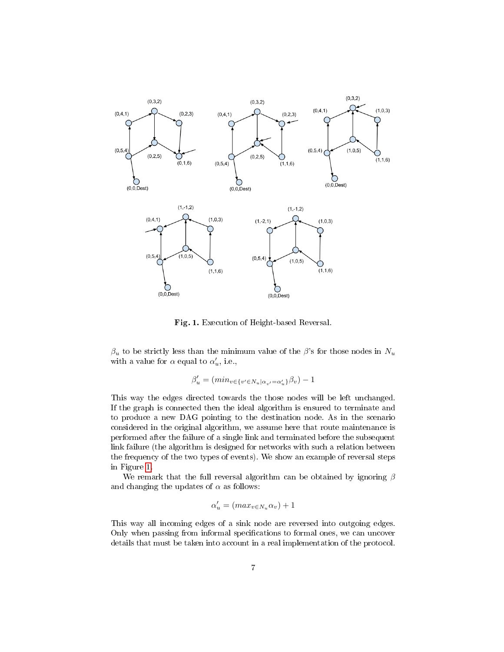

Fig. 1. Execution of Height-based Reversal.

<span id="page-6-0"></span> $\beta_u$  to be strictly less than the minimum value of the  $\beta$ 's for those nodes in  $N_u$ with a value for  $\alpha$  equal to  $\alpha'_u$ , i.e.,

$$
\beta'_u = (\min_{v \in \{v' \in N_u | \alpha_{v'} = \alpha'_u\}} \beta_v) - 1
$$

This way the edges directed towards the those nodes will be left unchanged. If the graph is connected then the ideal algorithm is ensured to terminate and to produce a new DAG pointing to the destination node. As in the scenario considered in the original algorithm, we assume here that route maintenance is performed after the failure of a single link and terminated before the subsequent link failure (the algorithm is designed for networks with such a relation between the frequency of the two types of events). We show an example of reversal steps in Figure [1.](#page-6-0)

We remark that the full reversal algorithm can be obtained by ignoring  $\beta$ and changing the updates of  $\alpha$  as follows:

$$
\alpha'_u = (max_{v \in N_u} \alpha_v) + 1
$$

This way all incoming edges of a sink node are reversed into outgoing edges. Only when passing from informal specifications to formal ones, we can uncover details that must be taken into account in a real implementation of the protocol.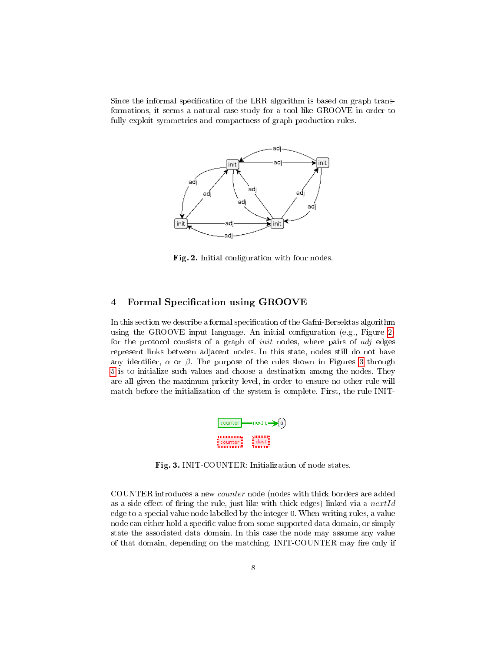Since the informal specification of the LRR algorithm is based on graph transformations, it seems a natural case-study for a tool like GROOVE in order to fully exploit symmetries and compactness of graph production rules.



<span id="page-7-1"></span>Fig. 2. Initial configuration with four nodes.

# <span id="page-7-0"></span>4 Formal Specification using GROOVE

In this section we describe a formal specification of the Gafni-Bersektas algorithm using the GROOVE input language. An initial configuration (e.g., Figure [2\)](#page-7-1) for the protocol consists of a graph of *init* nodes, where pairs of *adj* edges represent links between adjacent nodes. In this state, nodes still do not have any identifier,  $\alpha$  or  $\beta$ . The purpose of the rules shown in Figures [3](#page-7-2) through [5](#page-8-0) is to initialize such values and choose a destination among the nodes. They are all given the maximum priority level, in order to ensure no other rule will match before the initialization of the system is complete. First, the rule INIT-

<span id="page-7-2"></span>

Fig. 3. INIT-COUNTER: Initialization of node states.

COUNTER introduces a new counter node (nodes with thick borders are added as a side effect of firing the rule, just like with thick edges) linked via a  $nextId$ edge to a special value node labelled by the integer 0. When writing rules, a value node can either hold a specific value from some supported data domain, or simply state the associated data domain. In this case the node may assume any value of that domain, depending on the matching. INIT-COUNTER may fire only if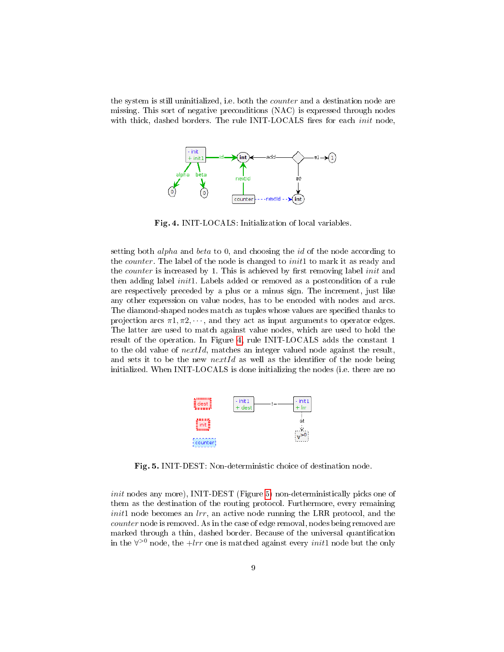the system is still uninitialized, i.e. both the *counter* and a destination node are missing. This sort of negative preconditions (NAC) is expressed through nodes with thick, dashed borders. The rule INIT-LOCALS fires for each *init* node,



<span id="page-8-1"></span>Fig. 4. INIT-LOCALS: Initialization of local variables.

setting both *alpha* and *beta* to 0, and choosing the *id* of the node according to the *counter*. The label of the node is changed to *init*1 to mark it as ready and the *counter* is increased by 1. This is achieved by first removing label *init* and then adding label *init1*. Labels added or removed as a postcondition of a rule are respectively preceded by a plus or a minus sign. The increment, just like any other expression on value nodes, has to be encoded with nodes and arcs. The diamond-shaped nodes match as tuples whose values are specified thanks to projection arcs  $\pi 1, \pi 2, \dots$ , and they act as input arguments to operator edges. The latter are used to match against value nodes, which are used to hold the result of the operation. In Figure [4,](#page-8-1) rule INIT-LOCALS adds the constant 1 to the old value of  $nextId$ , matches an integer valued node against the result, and sets it to be the new nextId as well as the identifier of the node being initialized. When INIT-LOCALS is done initializing the nodes (i.e. there are no

<span id="page-8-0"></span>

Fig. 5. INIT-DEST: Non-deterministic choice of destination node.

init nodes any more), INIT-DEST (Figure [5\)](#page-8-0) non-deterministically picks one of them as the destination of the routing protocol. Furthermore, every remaining  $init1$  node becomes an  $lrr$ , an active node running the LRR protocol, and the counter node is removed. As in the case of edge removal, nodes being removed are marked through a thin, dashed border. Because of the universal quantification in the  $\forall$ <sup>>0</sup> node, the +lrr one is matched against every *init*1 node but the only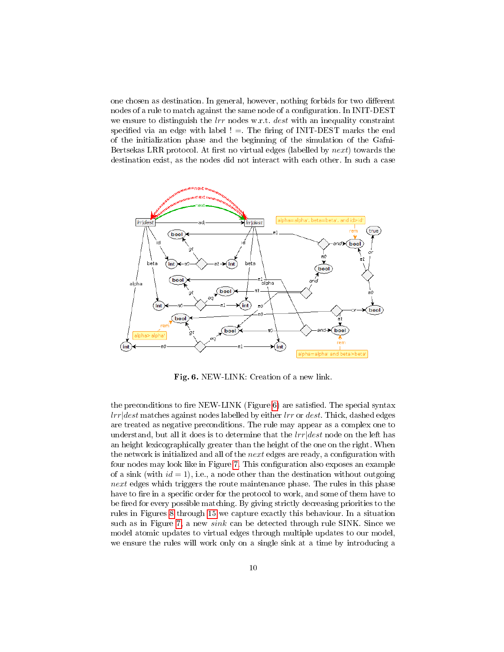one chosen as destination. In general, however, nothing forbids for two different nodes of a rule to match against the same node of a configuration. In INIT-DEST we ensure to distinguish the  $lrr$  nodes w.r.t. dest with an inequality constraint specified via an edge with label !  $=$ . The firing of INIT-DEST marks the end of the initialization phase and the beginning of the simulation of the Gafni-Bertsekas LRR protocol. At first no virtual edges (labelled by  $next$ ) towards the destination exist, as the nodes did not interact with each other. In such a case



<span id="page-9-0"></span>Fig. 6. NEW-LINK: Creation of a new link.

the preconditions to fire NEW-LINK (Figure [6\)](#page-9-0) are satisfied. The special syntax  $lrr|dest$  matches against nodes labelled by either  $lrr$  or  $dest$ . Thick, dashed edges are treated as negative preconditions. The rule may appear as a complex one to understand, but all it does is to determine that the  $lrr|dest$  node on the left has an height lexicographically greater than the height of the one on the right. When the network is initialized and all of the *next* edges are ready, a configuration with four nodes may look like in Figure [7.](#page-10-0) This configuration also exposes an example of a sink (with  $id = 1$ ), i.e., a node other than the destination without outgoing next edges which triggers the route maintenance phase. The rules in this phase have to fire in a specific order for the protocol to work, and some of them have to be fired for every possible matching. By giving strictly decreasing priorities to the rules in Figures [8](#page-10-1) through [15](#page-13-0) we capture exactly this behaviour. In a situation such as in Figure [7,](#page-10-0) a new *sink* can be detected through rule SINK. Since we model atomic updates to virtual edges through multiple updates to our model, we ensure the rules will work only on a single sink at a time by introducing a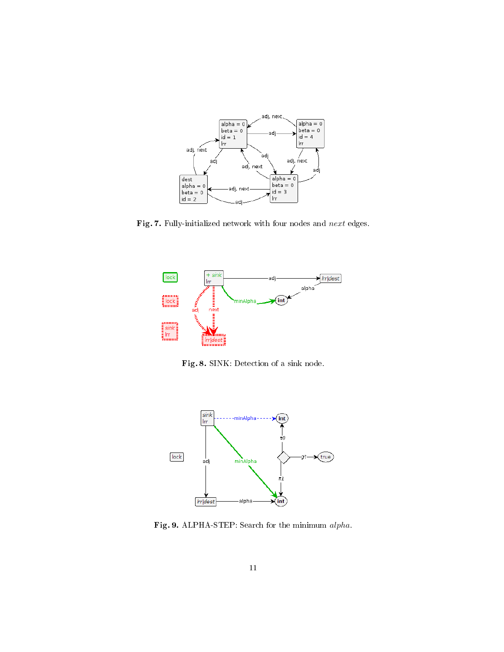<span id="page-10-0"></span>

Fig. 7. Fully-initialized network with four nodes and  $next$  edges.



<span id="page-10-1"></span>Fig. 8. SINK: Detection of a sink node.



<span id="page-10-2"></span>Fig. 9. ALPHA-STEP: Search for the minimum alpha.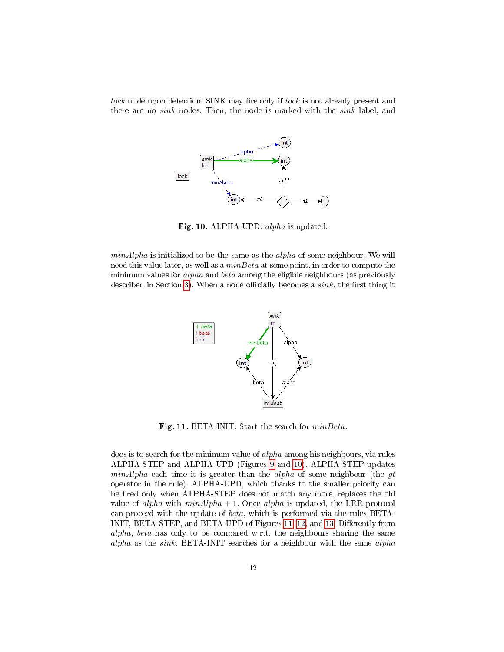lock node upon detection: SINK may fire only if lock is not already present and there are no *sink* nodes. Then, the node is marked with the *sink* label, and



<span id="page-11-0"></span>Fig. 10. ALPHA-UPD: alpha is updated.

 $minAlpha$  is initialized to be the same as the  $alpha$  of some neighbour. We will need this value later, as well as a  $minBeta$  at some point, in order to compute the minimum values for *alpha* and *beta* among the eligible neighbours (as previously described in Section [3\)](#page-4-0). When a node officially becomes a  $sink$ , the first thing it

<span id="page-11-1"></span>

Fig. 11. BETA-INIT: Start the search for  $minBeta$ .

does is to search for the minimum value of *alpha* among his neighbours, via rules ALPHA-STEP and ALPHA-UPD (Figures [9](#page-10-2) and [10\)](#page-11-0). ALPHA-STEP updates  $minAlpha$  each time it is greater than the *alpha* of some neighbour (the  $gt$ operator in the rule). ALPHA-UPD, which thanks to the smaller priority can be fired only when ALPHA-STEP does not match any more, replaces the old value of alpha with  $minAlpha + 1$ . Once alpha is updated, the LRR protocol can proceed with the update of beta, which is performed via the rules BETA-INIT, BETA-STEP, and BETA-UPD of Figures [11,](#page-11-1) [12,](#page-12-0) and [13.](#page-12-1) Differently from alpha, beta has only to be compared w.r.t. the neighbours sharing the same alpha as the sink. BETA-INIT searches for a neighbour with the same alpha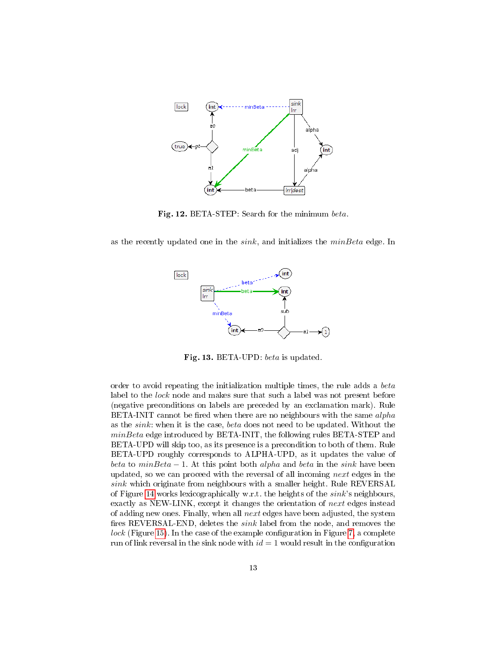

<span id="page-12-0"></span>Fig. 12. BETA-STEP: Search for the minimum beta.

as the recently updated one in the  $sink$ , and initializes the  $minBeta$  edge. In



<span id="page-12-1"></span>Fig. 13. BETA-UPD: beta is updated.

order to avoid repeating the initialization multiple times, the rule adds a beta label to the *lock* node and makes sure that such a label was not present before (negative preconditions on labels are preceded by an exclamation mark). Rule BETA-INIT cannot be fired when there are no neighbours with the same  $alpha$ as the sink: when it is the case, beta does not need to be updated. Without the minBeta edge introduced by BETA-INIT, the following rules BETA-STEP and BETA-UPD will skip too, as its presence is a precondition to both of them. Rule BETA-UPD roughly corresponds to ALPHA-UPD, as it updates the value of beta to minBeta  $-1$ . At this point both alpha and beta in the sink have been updated, so we can proceed with the reversal of all incoming next edges in the  $sink$  which originate from neighbours with a smaller height. Rule REVERSAL of Figure [14](#page-13-1) works lexicographically w.r.t. the heights of the  $sink$ 's neighbours, exactly as NEW-LINK, except it changes the orientation of next edges instead of adding new ones. Finally, when all next edges have been adjusted, the system fires REVERSAL-END, deletes the  $sink$  label from the node, and removes the  $lock$  (Figure [15\)](#page-13-0). In the case of the example configuration in Figure [7,](#page-10-0) a complete run of link reversal in the sink node with  $id = 1$  would result in the configuration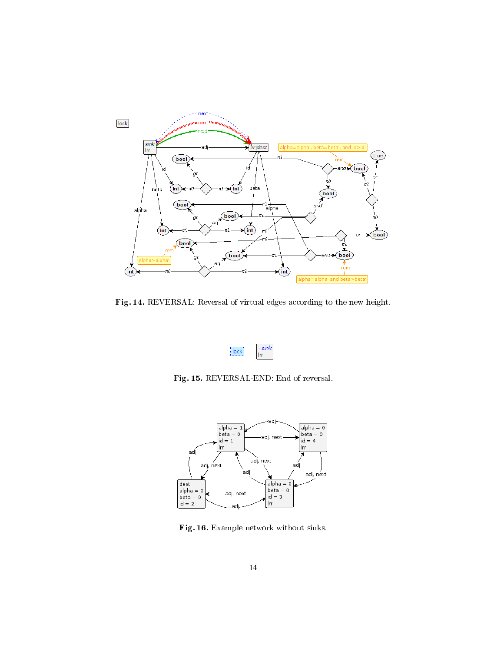

Fig. 14. REVERSAL: Reversal of virtual edges according to the new height.

<span id="page-13-1"></span><span id="page-13-0"></span>

Fig. 15. REVERSAL-END: End of reversal.



<span id="page-13-2"></span>Fig. 16. Example network without sinks.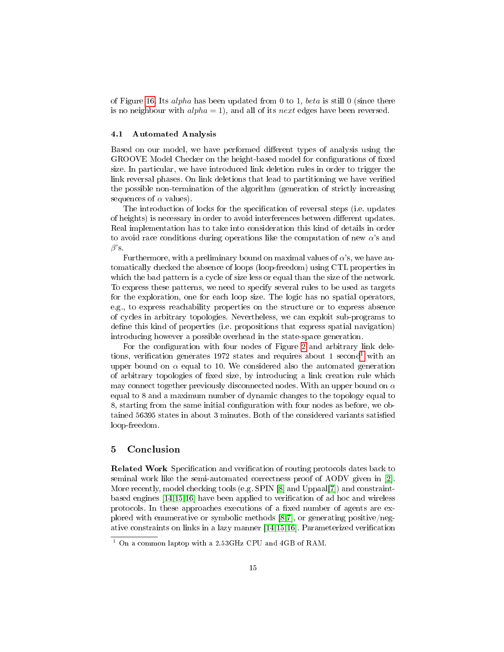of Figure [16.](#page-13-2) Its *alpha* has been updated from 0 to 1, *beta* is still 0 (since there is no neighbour with  $alpha = 1$ , and all of its next edges have been reversed.

#### 4.1 Automated Analysis

Based on our model, we have performed different types of analysis using the GROOVE Model Checker on the height-based model for configurations of fixed size. In particular, we have introduced link deletion rules in order to trigger the link reversal phases. On link deletions that lead to partitioning we have verified the possible non-termination of the algorithm (generation of strictly increasing sequences of  $\alpha$  values).

The introduction of locks for the specification of reversal steps (i.e. updates of heights) is necessary in order to avoid interferences between different updates. Real implementation has to take into consideration this kind of details in order to avoid race conditions during operations like the computation of new  $\alpha$ 's and  $\beta$ 's.

Furthermore, with a preliminary bound on maximal values of  $\alpha$ 's, we have automatically checked the absence of loops (loop-freedom) using CTL properties in which the bad pattern is a cycle of size less or equal than the size of the network. To express these patterns, we need to specify several rules to be used as targets for the exploration, one for each loop size. The logic has no spatial operators, e.g., to express reachability properties on the structure or to express absence of cycles in arbitrary topologies. Nevertheless, we can exploit sub-programs to define this kind of properties (i.e. propositions that express spatial navigation) introducing however a possible overhead in the state-space generation.

For the configuration with four nodes of Figure [2](#page-7-1) and arbitrary link dele-tions, verification generates [1](#page-14-1)972 states and requires about 1 second<sup>1</sup> with an upper bound on  $\alpha$  equal to 10. We considered also the automated generation of arbitrary topologies of fixed size, by introducing a link creation rule which may connect together previously disconnected nodes. With an upper bound on  $\alpha$ equal to 8 and a maximum number of dynamic changes to the topology equal to 8, starting from the same initial configuration with four nodes as before, we obtained 56395 states in about 3 minutes. Both of the considered variants satisfied loop-freedom.

# <span id="page-14-0"></span>5 Conclusion

**Related Work** Specification and verification of routing protocols dates back to seminal work like the semi-automated correctness proof of AODV given in [\[2\]](#page-17-5). More recently, model checking tools (e.g. SPIN [\[8\]](#page-17-9) and Uppaal[\[7\]](#page-17-4)) and constraintbased engines  $[14, 15, 16]$  $[14, 15, 16]$  have been applied to verification of ad hoc and wireless protocols. In these approaches executions of a fixed number of agents are explored with enumerative or symbolic methods [\[8,](#page-17-9)[7\]](#page-17-4), or generating positive/negative constraints on links in a lazy manner  $[14,15,16]$  $[14,15,16]$  $[14,15,16]$ . Parameterized verification

<span id="page-14-1"></span><sup>1</sup> On a common laptop with a 2.53GHz CPU and 4GB of RAM.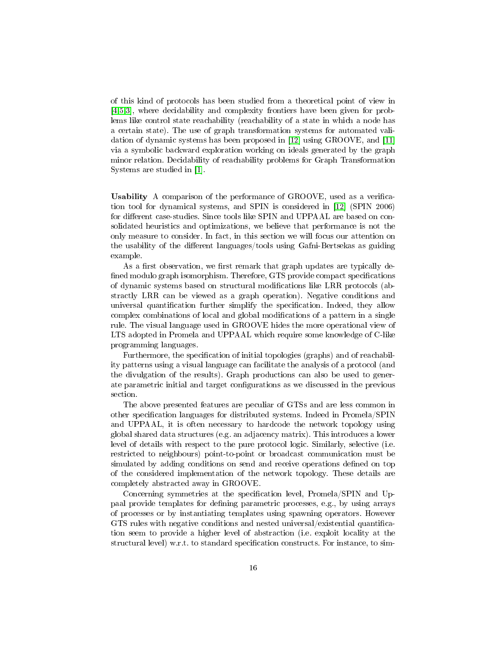of this kind of protocols has been studied from a theoretical point of view in [\[4,](#page-17-6)[5](#page-17-7)[,3\]](#page-17-8), where decidability and complexity frontiers have been given for problems like control state reachability (reachability of a state in which a node has a certain state). The use of graph transformation systems for automated validation of dynamic systems has been proposed in [\[12\]](#page-17-13) using GROOVE, and [\[11\]](#page-17-0) via a symbolic backward exploration working on ideals generated by the graph minor relation. Decidability of reachability problems for Graph Transformation Systems are studied in [\[1\]](#page-17-1).

Usability A comparison of the performance of GROOVE, used as a verication tool for dynamical systems, and SPIN is considered in [\[12\]](#page-17-13) (SPIN 2006) for different case-studies. Since tools like SPIN and UPPAAL are based on consolidated heuristics and optimizations, we believe that performance is not the only measure to consider. In fact, in this section we will focus our attention on the usability of the different languages/tools using Gafni-Bertsekas as guiding example.

As a first observation, we first remark that graph updates are typically defined modulo graph isomorphism. Therefore, GTS provide compact specifications of dynamic systems based on structural modifications like LRR protocols (abstractly LRR can be viewed as a graph operation). Negative conditions and universal quantification further simplify the specification. Indeed, they allow complex combinations of local and global modifications of a pattern in a single rule. The visual language used in GROOVE hides the more operational view of LTS adopted in Promela and UPPAAL which require some knowledge of C-like programming languages.

Furthermore, the specification of initial topologies (graphs) and of reachability patterns using a visual language can facilitate the analysis of a protocol (and the divulgation of the results). Graph productions can also be used to generate parametric initial and target configurations as we discussed in the previous section.

The above presented features are peculiar of GTSs and are less common in other specification languages for distributed systems. Indeed in Promela/SPIN and UPPAAL, it is often necessary to hardcode the network topology using global shared data structures (e.g. an adjacency matrix). This introduces a lower level of details with respect to the pure protocol logic. Similarly, selective (i.e. restricted to neighbours) point-to-point or broadcast communication must be simulated by adding conditions on send and receive operations defined on top of the considered implementation of the network topology. These details are completely abstracted away in GROOVE.

Concerning symmetries at the specification level, Promela/SPIN and Uppaal provide templates for dening parametric processes, e.g., by using arrays of processes or by instantiating templates using spawning operators. However GTS rules with negative conditions and nested universal/existential quantication seem to provide a higher level of abstraction (i.e. exploit locality at the structural level) w.r.t. to standard specification constructs. For instance, to sim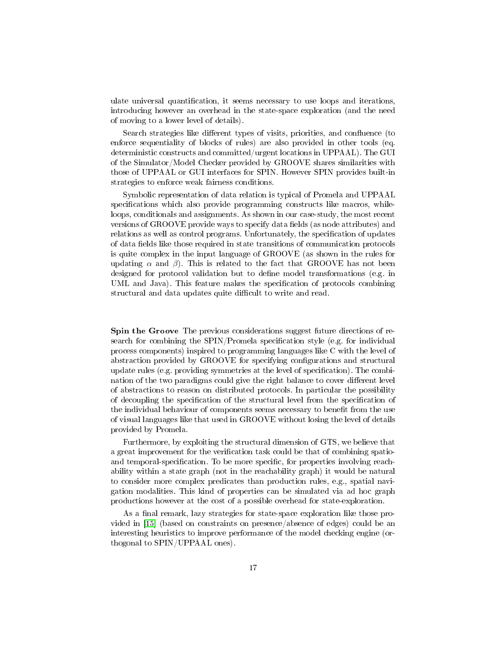ulate universal quantification, it seems necessary to use loops and iterations, introducing however an overhead in the state-space exploration (and the need of moving to a lower level of details).

Search strategies like different types of visits, priorities, and confluence (to enforce sequentiality of blocks of rules) are also provided in other tools (eq. deterministic constructs and committed/urgent locations in UPPAAL). The GUI of the Simulator/Model Checker provided by GROOVE shares similarities with those of UPPAAL or GUI interfaces for SPIN. However SPIN provides built-in strategies to enforce weak fairness conditions.

Symbolic representation of data relation is typical of Promela and UPPAAL specifications which also provide programming constructs like macros, whileloops, conditionals and assignments. As shown in our case-study, the most recent versions of GROOVE provide ways to specify data fields (as node attributes) and relations as well as control programs. Unfortunately, the specification of updates of data fields like those required in state transitions of communication protocols is quite complex in the input language of GROOVE (as shown in the rules for updating  $\alpha$  and  $\beta$ ). This is related to the fact that GROOVE has not been designed for protocol validation but to dene model transformations (e.g. in UML and Java). This feature makes the specification of protocols combining structural and data updates quite difficult to write and read.

Spin the Groove The previous considerations suggest future directions of research for combining the  $SPIN/P$ romela specification style (e.g. for individual process components) inspired to programming languages like C with the level of abstraction provided by GROOVE for specifying configurations and structural update rules (e.g. providing symmetries at the level of specification). The combination of the two paradigms could give the right balance to cover different level of abstractions to reason on distributed protocols. In particular the possibility of decoupling the specification of the structural level from the specification of the individual behaviour of components seems necessary to benefit from the use of visual languages like that used in GROOVE without losing the level of details provided by Promela.

Furthermore, by exploiting the structural dimension of GTS, we believe that a great improvement for the verification task could be that of combining spatioand temporal-specification. To be more specific, for properties involving reachability within a state graph (not in the reachability graph) it would be natural to consider more complex predicates than production rules, e.g., spatial navigation modalities. This kind of properties can be simulated via ad hoc graph productions however at the cost of a possible overhead for state-exploration.

As a final remark, lazy strategies for state-space exploration like those provided in [\[15\]](#page-17-12) (based on constraints on presence/absence of edges) could be an interesting heuristics to improve performance of the model checking engine (orthogonal to SPIN/UPPAAL ones).